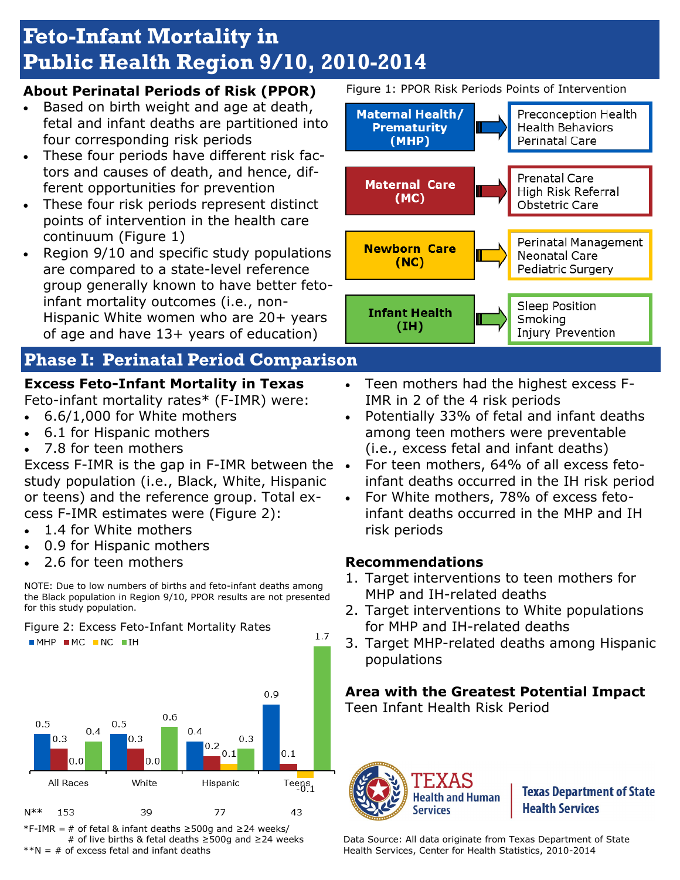# **Feto-Infant Mortality in Public Health Region 9/10, 2010-2014**

### **About Perinatal Periods of Risk (PPOR)**

- Based on birth weight and age at death, fetal and infant deaths are partitioned into four corresponding risk periods
- These four periods have different risk factors and causes of death, and hence, different opportunities for prevention
- These four risk periods represent distinct points of intervention in the health care continuum (Figure 1)
- Region 9/10 and specific study populations are compared to a state-level reference group generally known to have better fetoinfant mortality outcomes (i.e., non-Hispanic White women who are 20+ years of age and have 13+ years of education)

## **Phase I: Perinatal Period Comparison**

### **Excess Feto-Infant Mortality in Texas**

Feto-infant mortality rates\* (F-IMR) were:

- 6.6/1,000 for White mothers
- 6.1 for Hispanic mothers
- 7.8 for teen mothers

Excess F-IMR is the gap in F-IMR between the study population (i.e., Black, White, Hispanic or teens) and the reference group. Total excess F-IMR estimates were (Figure 2):

- 1.4 for White mothers
- 0.9 for Hispanic mothers
- 2.6 for teen mothers



Figure 2: Excess Feto-Infant Mortality Rates  $-MHP$   $MC$   $NC$   $IH$ 



\*F-IMR = # of fetal & infant deaths ≥500g and ≥24 weeks/ # of live births & fetal deaths ≥500g and ≥24 weeks  $*N = #$  of excess fetal and infant deaths

Figure 1: PPOR Risk Periods Points of Intervention



Injury Prevention

- Teen mothers had the highest excess F-IMR in 2 of the 4 risk periods
- Potentially 33% of fetal and infant deaths among teen mothers were preventable (i.e., excess fetal and infant deaths)
- For teen mothers, 64% of all excess fetoinfant deaths occurred in the IH risk period
- For White mothers, 78% of excess fetoinfant deaths occurred in the MHP and IH risk periods

### **Recommendations**

 $1.7$ 

- 1. Target interventions to teen mothers for MHP and IH-related deaths
- 2. Target interventions to White populations for MHP and IH-related deaths
- 3. Target MHP-related deaths among Hispanic populations

### **Area with the Greatest Potential Impact**

Teen Infant Health Risk Period



**Texas Department of State Health Services** 

Data Source: All data originate from Texas Department of State Health Services, Center for Health Statistics, 2010-2014